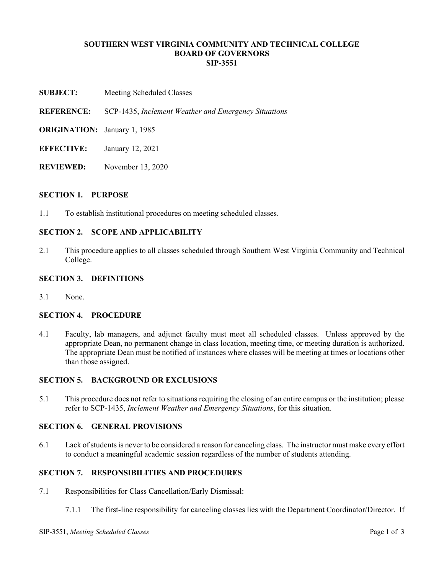## **SOUTHERN WEST VIRGINIA COMMUNITY AND TECHNICAL COLLEGE BOARD OF GOVERNORS SIP-3551**

**SUBJECT:** Meeting Scheduled Classes

**REFERENCE:** SCP-1435, *Inclement Weather and Emergency Situations*

- **ORIGINATION:** January 1, 1985
- **EFFECTIVE:** January 12, 2021
- **REVIEWED:** November 13, 2020

#### **SECTION 1. PURPOSE**

1.1 To establish institutional procedures on meeting scheduled classes.

# **SECTION 2. SCOPE AND APPLICABILITY**

2.1 This procedure applies to all classes scheduled through Southern West Virginia Community and Technical College.

#### **SECTION 3. DEFINITIONS**

3.1 None.

### **SECTION 4. PROCEDURE**

4.1 Faculty, lab managers, and adjunct faculty must meet all scheduled classes. Unless approved by the appropriate Dean, no permanent change in class location, meeting time, or meeting duration is authorized. The appropriate Dean must be notified of instances where classes will be meeting at times or locations other than those assigned.

## **SECTION 5. BACKGROUND OR EXCLUSIONS**

5.1 This procedure does not refer to situations requiring the closing of an entire campus or the institution; please refer to SCP-1435, *Inclement Weather and Emergency Situations*, for this situation.

## **SECTION 6. GENERAL PROVISIONS**

6.1 Lack of students is never to be considered a reason for canceling class. The instructor must make every effort to conduct a meaningful academic session regardless of the number of students attending.

# **SECTION 7. RESPONSIBILITIES AND PROCEDURES**

- 7.1 Responsibilities for Class Cancellation/Early Dismissal:
	- 7.1.1 The first-line responsibility for canceling classes lies with the Department Coordinator/Director. If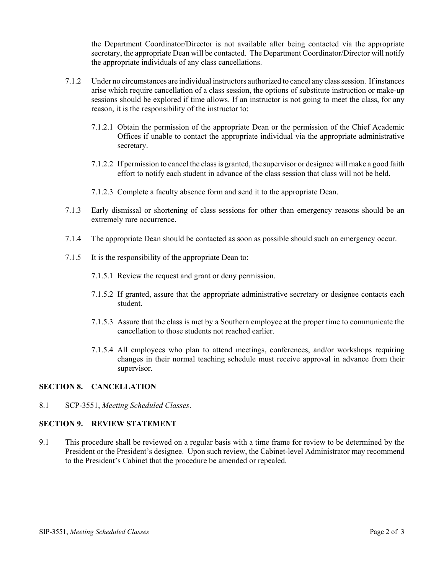the Department Coordinator/Director is not available after being contacted via the appropriate secretary, the appropriate Dean will be contacted. The Department Coordinator/Director will notify the appropriate individuals of any class cancellations.

- 7.1.2 Under no circumstances are individual instructors authorized to cancel any class session. If instances arise which require cancellation of a class session, the options of substitute instruction or make-up sessions should be explored if time allows. If an instructor is not going to meet the class, for any reason, it is the responsibility of the instructor to:
	- 7.1.2.1 Obtain the permission of the appropriate Dean or the permission of the Chief Academic Offices if unable to contact the appropriate individual via the appropriate administrative secretary.
	- 7.1.2.2 If permission to cancel the class is granted, the supervisor or designee will make a good faith effort to notify each student in advance of the class session that class will not be held.
	- 7.1.2.3 Complete a faculty absence form and send it to the appropriate Dean.
- 7.1.3 Early dismissal or shortening of class sessions for other than emergency reasons should be an extremely rare occurrence.
- 7.1.4 The appropriate Dean should be contacted as soon as possible should such an emergency occur.
- 7.1.5 It is the responsibility of the appropriate Dean to:
	- 7.1.5.1 Review the request and grant or deny permission.
	- 7.1.5.2 If granted, assure that the appropriate administrative secretary or designee contacts each student.
	- 7.1.5.3 Assure that the class is met by a Southern employee at the proper time to communicate the cancellation to those students not reached earlier.
	- 7.1.5.4 All employees who plan to attend meetings, conferences, and/or workshops requiring changes in their normal teaching schedule must receive approval in advance from their supervisor.

# **SECTION 8. CANCELLATION**

8.1 SCP-3551, *Meeting Scheduled Classes*.

# **SECTION 9. REVIEW STATEMENT**

9.1 This procedure shall be reviewed on a regular basis with a time frame for review to be determined by the President or the President's designee. Upon such review, the Cabinet-level Administrator may recommend to the President's Cabinet that the procedure be amended or repealed.